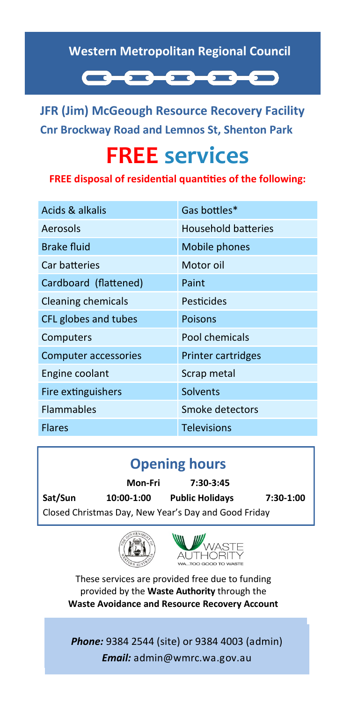#### **Western Metropolitan Regional Council**



**JFR (Jim) McGeough Resource Recovery Facility Cnr Brockway Road and Lemnos St, Shenton Park**

# **FREE services**

**FREE disposal of residential quantities of the following:**

| Acids & alkalis           | Gas bottles*        |
|---------------------------|---------------------|
| Aerosols                  | Household batteries |
| <b>Brake fluid</b>        | Mobile phones       |
| Car batteries             | Motor oil           |
| Cardboard (flattened)     | Paint               |
| <b>Cleaning chemicals</b> | Pesticides          |
| CFL globes and tubes      | <b>Poisons</b>      |
| Computers                 | Pool chemicals      |
| Computer accessories      | Printer cartridges  |
| Engine coolant            | Scrap metal         |
| Fire extinguishers        | Solvents            |
| <b>Flammables</b>         | Smoke detectors     |
| <b>Flares</b>             | <b>Televisions</b>  |

## **Opening hours**

**Mon-Fri 7:30-3:45 Sat/Sun 10:00-1:00 Public Holidays 7:30-1:00** Closed Christmas Day, New Year's Day and Good Friday





These services are provided free due to funding provided by the **Waste Authority** through the **Waste Avoidance and Resource Recovery Account**

*Phone:* 9384 2544 (site) or 9384 4003 (admin) *Email:* admin@wmrc.wa.gov.au